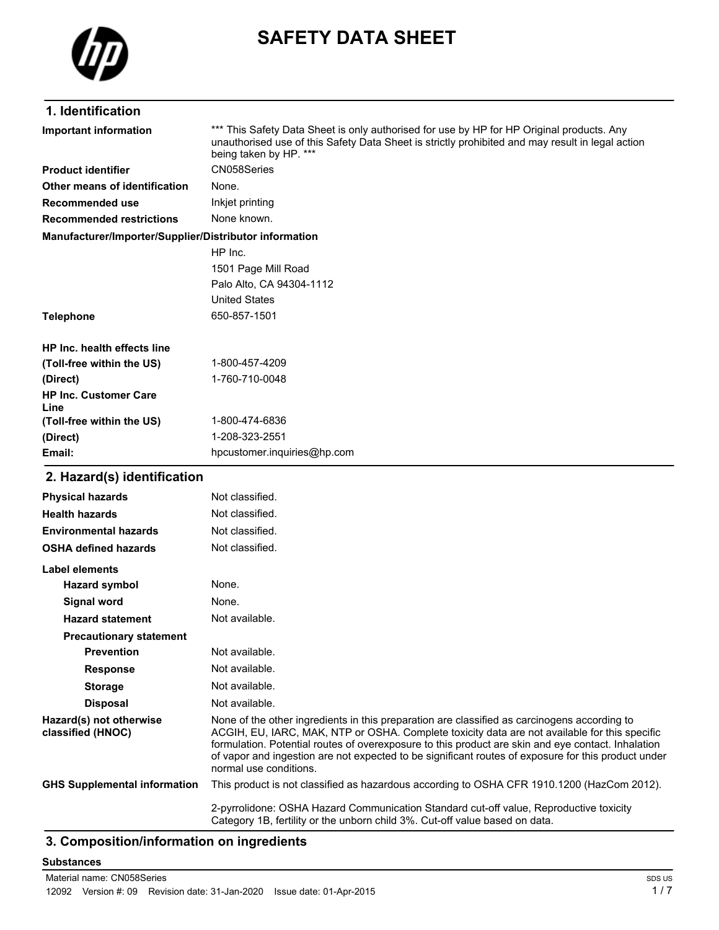

# **SAFETY DATA SHEET**

## **1. Identification**

| Important information                                  | *** This Safety Data Sheet is only authorised for use by HP for HP Original products. Any<br>unauthorised use of this Safety Data Sheet is strictly prohibited and may result in legal action<br>being taken by HP. *** |
|--------------------------------------------------------|-------------------------------------------------------------------------------------------------------------------------------------------------------------------------------------------------------------------------|
| <b>Product identifier</b>                              | CN058Series                                                                                                                                                                                                             |
| Other means of identification                          | None.                                                                                                                                                                                                                   |
| <b>Recommended use</b>                                 | Inkjet printing                                                                                                                                                                                                         |
| <b>Recommended restrictions</b>                        | None known.                                                                                                                                                                                                             |
| Manufacturer/Importer/Supplier/Distributor information |                                                                                                                                                                                                                         |
|                                                        | HP Inc.                                                                                                                                                                                                                 |
|                                                        | 1501 Page Mill Road                                                                                                                                                                                                     |
|                                                        | Palo Alto, CA 94304-1112                                                                                                                                                                                                |
|                                                        | <b>United States</b>                                                                                                                                                                                                    |
| <b>Telephone</b>                                       | 650-857-1501                                                                                                                                                                                                            |
| HP Inc. health effects line                            |                                                                                                                                                                                                                         |
| (Toll-free within the US)                              | 1-800-457-4209                                                                                                                                                                                                          |
| (Direct)                                               | 1-760-710-0048                                                                                                                                                                                                          |
| <b>HP Inc. Customer Care</b><br>Line                   |                                                                                                                                                                                                                         |
| (Toll-free within the US)                              | 1-800-474-6836                                                                                                                                                                                                          |
| (Direct)                                               | 1-208-323-2551                                                                                                                                                                                                          |
| Email:                                                 | hpcustomer.inquiries@hp.com                                                                                                                                                                                             |
| 2. Hazard(s) identification                            |                                                                                                                                                                                                                         |

### **Physical hazards** Not classified. **Health hazards** Not classified. **Environmental hazards** Not classified. **OSHA defined hazards** Not classified. **Label elements Hazard symbol** None. **Signal word** None. Hazard statement Not available. **Precautionary statement Prevention** Not available. **Response** Not available. **Storage** Not available. **Disposal** Not available. **Hazard(s) not otherwise classified (HNOC)** None of the other ingredients in this preparation are classified as carcinogens according to ACGIH, EU, IARC, MAK, NTP or OSHA. Complete toxicity data are not available for this specific formulation. Potential routes of overexposure to this product are skin and eye contact. Inhalation of vapor and ingestion are not expected to be significant routes of exposure for this product under normal use conditions. **GHS Supplemental information** This product is not classified as hazardous according to OSHA CFR 1910.1200 (HazCom 2012). 2-pyrrolidone: OSHA Hazard Communication Standard cut-off value, Reproductive toxicity Category 1B, fertility or the unborn child 3%. Cut-off value based on data.

## **3. Composition/information on ingredients**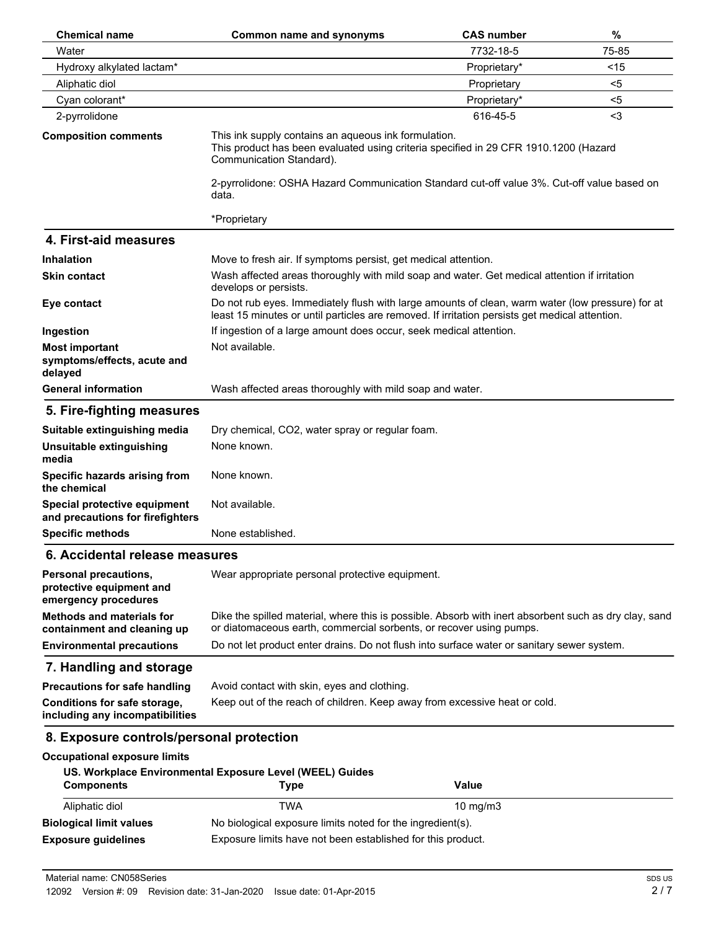| <b>Chemical name</b>                                                             | <b>Common name and synonyms</b>                                                                                                                                                                    | <b>CAS number</b> | %     |
|----------------------------------------------------------------------------------|----------------------------------------------------------------------------------------------------------------------------------------------------------------------------------------------------|-------------------|-------|
| Water                                                                            |                                                                                                                                                                                                    | 7732-18-5         | 75-85 |
| Hydroxy alkylated lactam*                                                        |                                                                                                                                                                                                    | Proprietary*      | <15   |
| Aliphatic diol                                                                   |                                                                                                                                                                                                    | Proprietary       | $5$   |
| Cyan colorant*                                                                   |                                                                                                                                                                                                    | Proprietary*      | $5$   |
| 2-pyrrolidone                                                                    |                                                                                                                                                                                                    | 616-45-5          | $3$   |
| <b>Composition comments</b>                                                      | This ink supply contains an aqueous ink formulation.<br>This product has been evaluated using criteria specified in 29 CFR 1910.1200 (Hazard<br>Communication Standard).                           |                   |       |
|                                                                                  | 2-pyrrolidone: OSHA Hazard Communication Standard cut-off value 3%. Cut-off value based on<br>data.                                                                                                |                   |       |
|                                                                                  | *Proprietary                                                                                                                                                                                       |                   |       |
| 4. First-aid measures                                                            |                                                                                                                                                                                                    |                   |       |
| <b>Inhalation</b>                                                                | Move to fresh air. If symptoms persist, get medical attention.                                                                                                                                     |                   |       |
| <b>Skin contact</b>                                                              | Wash affected areas thoroughly with mild soap and water. Get medical attention if irritation<br>develops or persists.                                                                              |                   |       |
| Eye contact                                                                      | Do not rub eyes. Immediately flush with large amounts of clean, warm water (low pressure) for at<br>least 15 minutes or until particles are removed. If irritation persists get medical attention. |                   |       |
| Ingestion                                                                        | If ingestion of a large amount does occur, seek medical attention.                                                                                                                                 |                   |       |
| <b>Most important</b><br>symptoms/effects, acute and<br>delayed                  | Not available.                                                                                                                                                                                     |                   |       |
| <b>General information</b>                                                       | Wash affected areas thoroughly with mild soap and water.                                                                                                                                           |                   |       |
| 5. Fire-fighting measures                                                        |                                                                                                                                                                                                    |                   |       |
| Suitable extinguishing media                                                     | Dry chemical, CO2, water spray or regular foam.                                                                                                                                                    |                   |       |
| Unsuitable extinguishing<br>media                                                | None known.                                                                                                                                                                                        |                   |       |
| Specific hazards arising from<br>the chemical                                    | None known.                                                                                                                                                                                        |                   |       |
| Special protective equipment<br>and precautions for firefighters                 | Not available.                                                                                                                                                                                     |                   |       |
| <b>Specific methods</b>                                                          | None established.                                                                                                                                                                                  |                   |       |
| 6. Accidental release measures                                                   |                                                                                                                                                                                                    |                   |       |
| <b>Personal precautions,</b><br>protective equipment and<br>emergency procedures | Wear appropriate personal protective equipment.                                                                                                                                                    |                   |       |
| <b>Methods and materials for</b><br>containment and cleaning up                  | Dike the spilled material, where this is possible. Absorb with inert absorbent such as dry clay, sand<br>or diatomaceous earth, commercial sorbents, or recover using pumps.                       |                   |       |
| <b>Environmental precautions</b>                                                 | Do not let product enter drains. Do not flush into surface water or sanitary sewer system.                                                                                                         |                   |       |
| 7. Handling and storage                                                          |                                                                                                                                                                                                    |                   |       |
| <b>Precautions for safe handling</b>                                             | Avoid contact with skin, eyes and clothing.                                                                                                                                                        |                   |       |
| Conditions for safe storage,<br>including any incompatibilities                  | Keep out of the reach of children. Keep away from excessive heat or cold.                                                                                                                          |                   |       |
| 8. Exposure controls/personal protection                                         |                                                                                                                                                                                                    |                   |       |
| <b>Occupational exposure limits</b>                                              |                                                                                                                                                                                                    |                   |       |
| <b>Components</b>                                                                | US. Workplace Environmental Exposure Level (WEEL) Guides<br><b>Type</b>                                                                                                                            | <b>Value</b>      |       |
| Aliphatic diol                                                                   | <b>TWA</b>                                                                                                                                                                                         | 10 mg/m3          |       |
| <b>Biological limit values</b>                                                   | No biological exposure limits noted for the ingredient(s).                                                                                                                                         |                   |       |
| <b>Exposure guidelines</b>                                                       | Exposure limits have not been established for this product.                                                                                                                                        |                   |       |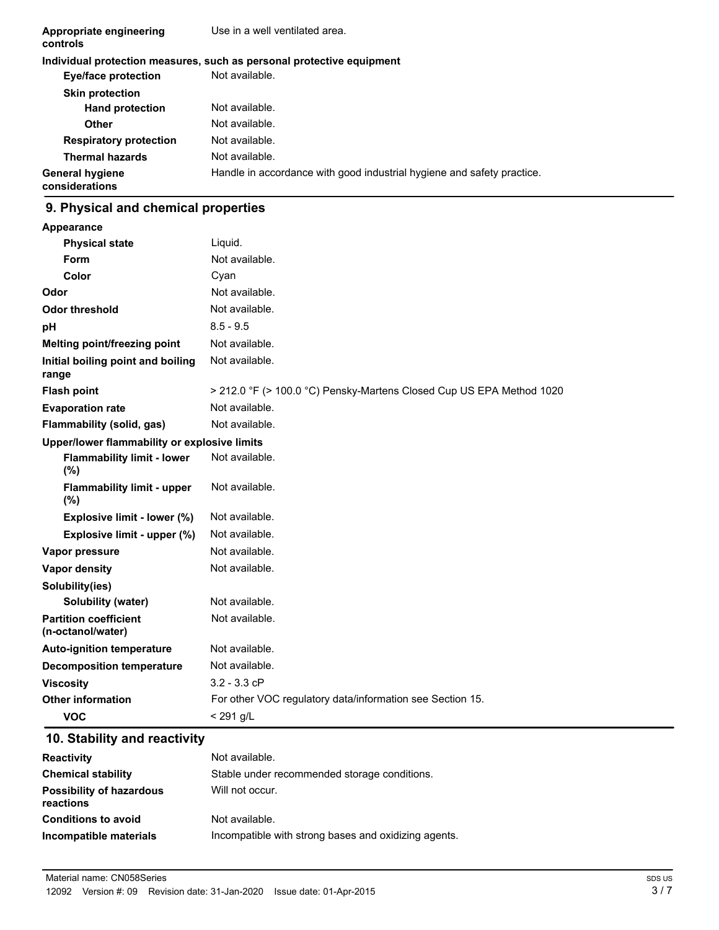| Appropriate engineering<br>controls      | Use in a well ventilated area.                                         |
|------------------------------------------|------------------------------------------------------------------------|
|                                          | Individual protection measures, such as personal protective equipment  |
| Eye/face protection                      | Not available.                                                         |
| <b>Skin protection</b>                   |                                                                        |
| <b>Hand protection</b>                   | Not available.                                                         |
| Other                                    | Not available.                                                         |
| <b>Respiratory protection</b>            | Not available.                                                         |
| <b>Thermal hazards</b>                   | Not available.                                                         |
| <b>General hygiene</b><br>considerations | Handle in accordance with good industrial hygiene and safety practice. |

## **9. Physical and chemical properties**

| <b>Appearance</b>                                 |                                                                      |
|---------------------------------------------------|----------------------------------------------------------------------|
| <b>Physical state</b>                             | Liquid.                                                              |
| Form                                              | Not available.                                                       |
| Color                                             | Cyan                                                                 |
| Odor                                              | Not available.                                                       |
| <b>Odor threshold</b>                             | Not available.                                                       |
| рH                                                | $8.5 - 9.5$                                                          |
| Melting point/freezing point                      | Not available.                                                       |
| Initial boiling point and boiling<br>range        | Not available.                                                       |
| <b>Flash point</b>                                | > 212.0 °F (> 100.0 °C) Pensky-Martens Closed Cup US EPA Method 1020 |
| <b>Evaporation rate</b>                           | Not available.                                                       |
| Flammability (solid, gas)                         | Not available.                                                       |
| Upper/lower flammability or explosive limits      |                                                                      |
| <b>Flammability limit - lower</b><br>(%)          | Not available.                                                       |
| <b>Flammability limit - upper</b><br>(%)          | Not available.                                                       |
| Explosive limit - lower (%)                       | Not available.                                                       |
| Explosive limit - upper (%)                       | Not available.                                                       |
| Vapor pressure                                    | Not available.                                                       |
| <b>Vapor density</b>                              | Not available.                                                       |
| Solubility(ies)                                   |                                                                      |
| Solubility (water)                                | Not available.                                                       |
| <b>Partition coefficient</b><br>(n-octanol/water) | Not available.                                                       |
| <b>Auto-ignition temperature</b>                  | Not available.                                                       |
| <b>Decomposition temperature</b>                  | Not available.                                                       |
| <b>Viscosity</b>                                  | $3.2 - 3.3$ cP                                                       |
| <b>Other information</b>                          | For other VOC regulatory data/information see Section 15.            |
| <b>VOC</b>                                        | < 291 g/L                                                            |

## **10. Stability and reactivity**

| <b>Reactivity</b>                            | Not available.                                       |
|----------------------------------------------|------------------------------------------------------|
| <b>Chemical stability</b>                    | Stable under recommended storage conditions.         |
| <b>Possibility of hazardous</b><br>reactions | Will not occur.                                      |
| <b>Conditions to avoid</b>                   | Not available.                                       |
| Incompatible materials                       | Incompatible with strong bases and oxidizing agents. |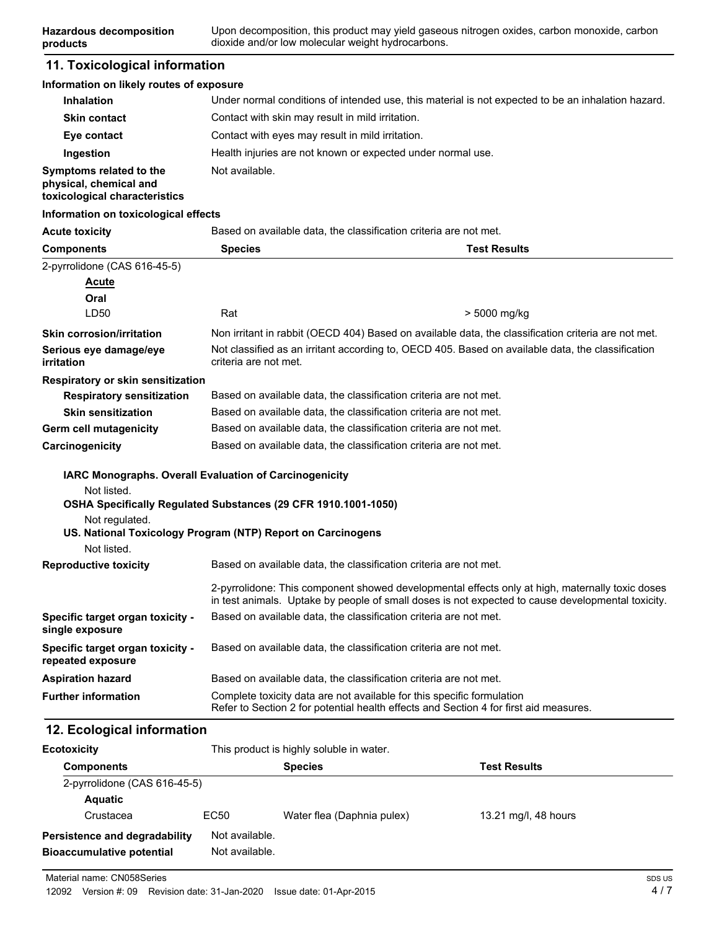## **11. Toxicological information**

**products**

#### **Information on likely routes of exposure**

| <b>Inhalation</b>                                                                  | Under normal conditions of intended use, this material is not expected to be an inhalation hazard. |
|------------------------------------------------------------------------------------|----------------------------------------------------------------------------------------------------|
| <b>Skin contact</b>                                                                | Contact with skin may result in mild irritation.                                                   |
| Eye contact                                                                        | Contact with eyes may result in mild irritation.                                                   |
| Ingestion                                                                          | Health injuries are not known or expected under normal use.                                        |
| Symptoms related to the<br>physical, chemical and<br>toxicological characteristics | Not available.                                                                                     |

#### **Information on toxicological effects**

| <b>Acute toxicity</b>                                                                           | Based on available data, the classification criteria are not met.                                                                                               |                                                                                                                                                                                                      |
|-------------------------------------------------------------------------------------------------|-----------------------------------------------------------------------------------------------------------------------------------------------------------------|------------------------------------------------------------------------------------------------------------------------------------------------------------------------------------------------------|
| <b>Components</b>                                                                               | <b>Species</b>                                                                                                                                                  | <b>Test Results</b>                                                                                                                                                                                  |
| 2-pyrrolidone (CAS 616-45-5)                                                                    |                                                                                                                                                                 |                                                                                                                                                                                                      |
| <b>Acute</b>                                                                                    |                                                                                                                                                                 |                                                                                                                                                                                                      |
| Oral                                                                                            |                                                                                                                                                                 |                                                                                                                                                                                                      |
| LD50                                                                                            | Rat                                                                                                                                                             | > 5000 mg/kg                                                                                                                                                                                         |
| <b>Skin corrosion/irritation</b>                                                                |                                                                                                                                                                 | Non irritant in rabbit (OECD 404) Based on available data, the classification criteria are not met.                                                                                                  |
| Serious eye damage/eye<br>irritation                                                            | Not classified as an irritant according to, OECD 405. Based on available data, the classification<br>criteria are not met.                                      |                                                                                                                                                                                                      |
| Respiratory or skin sensitization                                                               |                                                                                                                                                                 |                                                                                                                                                                                                      |
| <b>Respiratory sensitization</b>                                                                |                                                                                                                                                                 | Based on available data, the classification criteria are not met.                                                                                                                                    |
| <b>Skin sensitization</b>                                                                       |                                                                                                                                                                 | Based on available data, the classification criteria are not met.                                                                                                                                    |
| <b>Germ cell mutagenicity</b>                                                                   | Based on available data, the classification criteria are not met.                                                                                               |                                                                                                                                                                                                      |
| Carcinogenicity                                                                                 | Based on available data, the classification criteria are not met.                                                                                               |                                                                                                                                                                                                      |
| IARC Monographs. Overall Evaluation of Carcinogenicity                                          |                                                                                                                                                                 |                                                                                                                                                                                                      |
| Not listed.<br>OSHA Specifically Regulated Substances (29 CFR 1910.1001-1050)<br>Not regulated. |                                                                                                                                                                 |                                                                                                                                                                                                      |
| US. National Toxicology Program (NTP) Report on Carcinogens                                     |                                                                                                                                                                 |                                                                                                                                                                                                      |
| Not listed.                                                                                     |                                                                                                                                                                 |                                                                                                                                                                                                      |
| <b>Reproductive toxicity</b>                                                                    |                                                                                                                                                                 | Based on available data, the classification criteria are not met.                                                                                                                                    |
|                                                                                                 |                                                                                                                                                                 | 2-pyrrolidone: This component showed developmental effects only at high, maternally toxic doses<br>in test animals. Uptake by people of small doses is not expected to cause developmental toxicity. |
| Specific target organ toxicity -<br>single exposure                                             |                                                                                                                                                                 | Based on available data, the classification criteria are not met.                                                                                                                                    |
| Specific target organ toxicity -<br>repeated exposure                                           |                                                                                                                                                                 | Based on available data, the classification criteria are not met.                                                                                                                                    |
| <b>Aspiration hazard</b>                                                                        |                                                                                                                                                                 | Based on available data, the classification criteria are not met.                                                                                                                                    |
| <b>Further information</b>                                                                      | Complete toxicity data are not available for this specific formulation<br>Refer to Section 2 for potential health effects and Section 4 for first aid measures. |                                                                                                                                                                                                      |

## **12. Ecological information**

| <b>Ecotoxicity</b>               | This product is highly soluble in water. |                            |                      |
|----------------------------------|------------------------------------------|----------------------------|----------------------|
| <b>Components</b>                |                                          | <b>Species</b>             | <b>Test Results</b>  |
| 2-pyrrolidone (CAS 616-45-5)     |                                          |                            |                      |
| <b>Aquatic</b>                   |                                          |                            |                      |
| Crustacea                        | EC50                                     | Water flea (Daphnia pulex) | 13.21 mg/l, 48 hours |
| Persistence and degradability    | Not available.                           |                            |                      |
| <b>Bioaccumulative potential</b> | Not available.                           |                            |                      |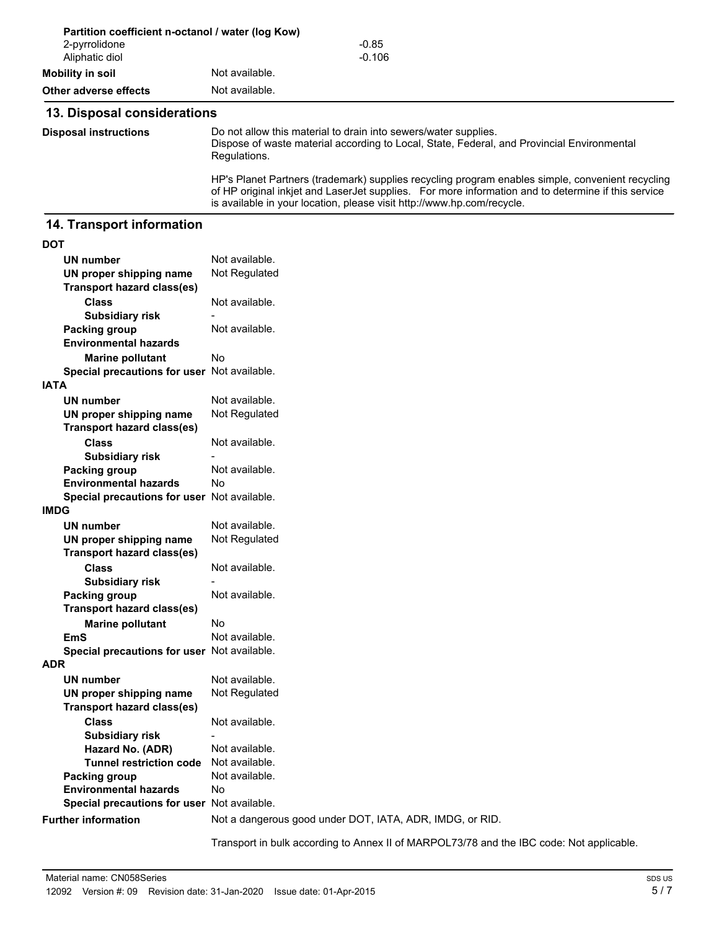|                                 | Partition coefficient n-octanol / water (log Kow)                                                                                                                                                                                                                                |  |
|---------------------------------|----------------------------------------------------------------------------------------------------------------------------------------------------------------------------------------------------------------------------------------------------------------------------------|--|
| 2-pyrrolidone<br>Aliphatic diol | $-0.85$<br>$-0.106$                                                                                                                                                                                                                                                              |  |
| Mobility in soil                | Not available.                                                                                                                                                                                                                                                                   |  |
| Other adverse effects           | Not available.                                                                                                                                                                                                                                                                   |  |
| 13. Disposal considerations     |                                                                                                                                                                                                                                                                                  |  |
| <b>Disposal instructions</b>    | Do not allow this material to drain into sewers/water supplies.<br>Dispose of waste material according to Local, State, Federal, and Provincial Environmental<br>Regulations.                                                                                                    |  |
|                                 | HP's Planet Partners (trademark) supplies recycling program enables simple, convenient recycling<br>of HP original inkjet and LaserJet supplies. For more information and to determine if this service<br>is available in your location, please visit http://www.hp.com/recycle. |  |

## **14. Transport information**

| ٠<br>I<br>×<br>$\sim$ |
|-----------------------|
|-----------------------|

| <b>UN number</b>                            | Not available.                                                                           |
|---------------------------------------------|------------------------------------------------------------------------------------------|
| UN proper shipping name                     | Not Regulated                                                                            |
| <b>Transport hazard class(es)</b>           |                                                                                          |
| <b>Class</b>                                | Not available.                                                                           |
| <b>Subsidiary risk</b>                      |                                                                                          |
| Packing group                               | Not available.                                                                           |
| <b>Environmental hazards</b>                |                                                                                          |
| <b>Marine pollutant</b>                     | Nο                                                                                       |
| Special precautions for user Not available. |                                                                                          |
| <b>IATA</b>                                 |                                                                                          |
| <b>UN number</b>                            | Not available.                                                                           |
| UN proper shipping name                     | Not Regulated                                                                            |
| <b>Transport hazard class(es)</b>           |                                                                                          |
| <b>Class</b>                                | Not available.                                                                           |
| <b>Subsidiary risk</b>                      |                                                                                          |
| Packing group                               | Not available.                                                                           |
| <b>Environmental hazards</b>                | Nο                                                                                       |
| Special precautions for user Not available. |                                                                                          |
| <b>IMDG</b>                                 |                                                                                          |
| <b>UN number</b>                            | Not available.                                                                           |
| UN proper shipping name                     | Not Regulated                                                                            |
| <b>Transport hazard class(es)</b>           |                                                                                          |
| <b>Class</b>                                | Not available.                                                                           |
| <b>Subsidiary risk</b>                      |                                                                                          |
| Packing group                               | Not available.                                                                           |
| <b>Transport hazard class(es)</b>           |                                                                                          |
| <b>Marine pollutant</b>                     | No                                                                                       |
| EmS                                         | Not available.                                                                           |
| Special precautions for user Not available. |                                                                                          |
| ADR                                         |                                                                                          |
| <b>UN number</b>                            | Not available.                                                                           |
| UN proper shipping name                     | Not Regulated                                                                            |
| <b>Transport hazard class(es)</b>           |                                                                                          |
| <b>Class</b>                                | Not available.                                                                           |
| <b>Subsidiary risk</b>                      |                                                                                          |
| Hazard No. (ADR)                            | Not available.                                                                           |
| <b>Tunnel restriction code</b>              | Not available.                                                                           |
| <b>Packing group</b>                        | Not available.                                                                           |
| <b>Environmental hazards</b>                | No                                                                                       |
| Special precautions for user Not available. |                                                                                          |
| <b>Further information</b>                  | Not a dangerous good under DOT, IATA, ADR, IMDG, or RID.                                 |
|                                             | Transport in bulk according to Annex II of MARPOL73/78 and the IBC code: Not applicable. |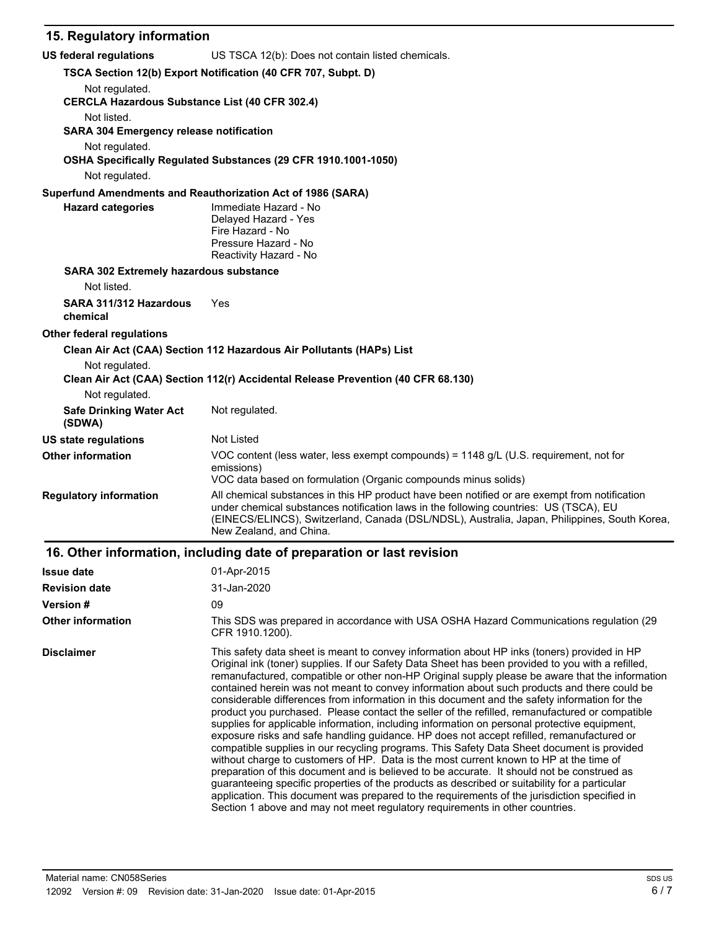## **15. Regulatory information**

| <b>US federal regulations</b>                                           | US TSCA 12(b): Does not contain listed chemicals.                                                                                                                                                                                                                                                                                                                                                                                                                                                                                                                                                                                                                                                                                                                                                                                                                                                                                                                                                                                                                                                                                                                                                                                                                                                                                                                         |
|-------------------------------------------------------------------------|---------------------------------------------------------------------------------------------------------------------------------------------------------------------------------------------------------------------------------------------------------------------------------------------------------------------------------------------------------------------------------------------------------------------------------------------------------------------------------------------------------------------------------------------------------------------------------------------------------------------------------------------------------------------------------------------------------------------------------------------------------------------------------------------------------------------------------------------------------------------------------------------------------------------------------------------------------------------------------------------------------------------------------------------------------------------------------------------------------------------------------------------------------------------------------------------------------------------------------------------------------------------------------------------------------------------------------------------------------------------------|
|                                                                         | TSCA Section 12(b) Export Notification (40 CFR 707, Subpt. D)                                                                                                                                                                                                                                                                                                                                                                                                                                                                                                                                                                                                                                                                                                                                                                                                                                                                                                                                                                                                                                                                                                                                                                                                                                                                                                             |
| Not regulated.<br><b>CERCLA Hazardous Substance List (40 CFR 302.4)</b> |                                                                                                                                                                                                                                                                                                                                                                                                                                                                                                                                                                                                                                                                                                                                                                                                                                                                                                                                                                                                                                                                                                                                                                                                                                                                                                                                                                           |
| Not listed.                                                             |                                                                                                                                                                                                                                                                                                                                                                                                                                                                                                                                                                                                                                                                                                                                                                                                                                                                                                                                                                                                                                                                                                                                                                                                                                                                                                                                                                           |
| <b>SARA 304 Emergency release notification</b>                          |                                                                                                                                                                                                                                                                                                                                                                                                                                                                                                                                                                                                                                                                                                                                                                                                                                                                                                                                                                                                                                                                                                                                                                                                                                                                                                                                                                           |
| Not regulated.                                                          |                                                                                                                                                                                                                                                                                                                                                                                                                                                                                                                                                                                                                                                                                                                                                                                                                                                                                                                                                                                                                                                                                                                                                                                                                                                                                                                                                                           |
|                                                                         | OSHA Specifically Regulated Substances (29 CFR 1910.1001-1050)                                                                                                                                                                                                                                                                                                                                                                                                                                                                                                                                                                                                                                                                                                                                                                                                                                                                                                                                                                                                                                                                                                                                                                                                                                                                                                            |
| Not regulated.                                                          |                                                                                                                                                                                                                                                                                                                                                                                                                                                                                                                                                                                                                                                                                                                                                                                                                                                                                                                                                                                                                                                                                                                                                                                                                                                                                                                                                                           |
| <b>Hazard categories</b>                                                | Superfund Amendments and Reauthorization Act of 1986 (SARA)<br>Immediate Hazard - No<br>Delayed Hazard - Yes<br>Fire Hazard - No<br>Pressure Hazard - No<br>Reactivity Hazard - No                                                                                                                                                                                                                                                                                                                                                                                                                                                                                                                                                                                                                                                                                                                                                                                                                                                                                                                                                                                                                                                                                                                                                                                        |
| SARA 302 Extremely hazardous substance                                  |                                                                                                                                                                                                                                                                                                                                                                                                                                                                                                                                                                                                                                                                                                                                                                                                                                                                                                                                                                                                                                                                                                                                                                                                                                                                                                                                                                           |
| Not listed.                                                             |                                                                                                                                                                                                                                                                                                                                                                                                                                                                                                                                                                                                                                                                                                                                                                                                                                                                                                                                                                                                                                                                                                                                                                                                                                                                                                                                                                           |
| SARA 311/312 Hazardous<br>chemical                                      | Yes                                                                                                                                                                                                                                                                                                                                                                                                                                                                                                                                                                                                                                                                                                                                                                                                                                                                                                                                                                                                                                                                                                                                                                                                                                                                                                                                                                       |
| <b>Other federal requlations</b>                                        |                                                                                                                                                                                                                                                                                                                                                                                                                                                                                                                                                                                                                                                                                                                                                                                                                                                                                                                                                                                                                                                                                                                                                                                                                                                                                                                                                                           |
|                                                                         | Clean Air Act (CAA) Section 112 Hazardous Air Pollutants (HAPs) List                                                                                                                                                                                                                                                                                                                                                                                                                                                                                                                                                                                                                                                                                                                                                                                                                                                                                                                                                                                                                                                                                                                                                                                                                                                                                                      |
| Not regulated.                                                          | Clean Air Act (CAA) Section 112(r) Accidental Release Prevention (40 CFR 68.130)                                                                                                                                                                                                                                                                                                                                                                                                                                                                                                                                                                                                                                                                                                                                                                                                                                                                                                                                                                                                                                                                                                                                                                                                                                                                                          |
| Not regulated.                                                          |                                                                                                                                                                                                                                                                                                                                                                                                                                                                                                                                                                                                                                                                                                                                                                                                                                                                                                                                                                                                                                                                                                                                                                                                                                                                                                                                                                           |
| <b>Safe Drinking Water Act</b><br>(SDWA)                                | Not regulated.                                                                                                                                                                                                                                                                                                                                                                                                                                                                                                                                                                                                                                                                                                                                                                                                                                                                                                                                                                                                                                                                                                                                                                                                                                                                                                                                                            |
| US state regulations                                                    | Not Listed                                                                                                                                                                                                                                                                                                                                                                                                                                                                                                                                                                                                                                                                                                                                                                                                                                                                                                                                                                                                                                                                                                                                                                                                                                                                                                                                                                |
| <b>Other information</b>                                                | VOC content (less water, less exempt compounds) = 1148 g/L (U.S. requirement, not for<br>emissions)<br>VOC data based on formulation (Organic compounds minus solids)                                                                                                                                                                                                                                                                                                                                                                                                                                                                                                                                                                                                                                                                                                                                                                                                                                                                                                                                                                                                                                                                                                                                                                                                     |
| <b>Regulatory information</b>                                           | All chemical substances in this HP product have been notified or are exempt from notification<br>under chemical substances notification laws in the following countries: US (TSCA), EU<br>(EINECS/ELINCS), Switzerland, Canada (DSL/NDSL), Australia, Japan, Philippines, South Korea,<br>New Zealand, and China.                                                                                                                                                                                                                                                                                                                                                                                                                                                                                                                                                                                                                                                                                                                                                                                                                                                                                                                                                                                                                                                         |
|                                                                         | 16. Other information, including date of preparation or last revision                                                                                                                                                                                                                                                                                                                                                                                                                                                                                                                                                                                                                                                                                                                                                                                                                                                                                                                                                                                                                                                                                                                                                                                                                                                                                                     |
| <b>Issue date</b>                                                       | 01-Apr-2015                                                                                                                                                                                                                                                                                                                                                                                                                                                                                                                                                                                                                                                                                                                                                                                                                                                                                                                                                                                                                                                                                                                                                                                                                                                                                                                                                               |
| <b>Revision date</b>                                                    | 31-Jan-2020                                                                                                                                                                                                                                                                                                                                                                                                                                                                                                                                                                                                                                                                                                                                                                                                                                                                                                                                                                                                                                                                                                                                                                                                                                                                                                                                                               |
| Version #                                                               | 09                                                                                                                                                                                                                                                                                                                                                                                                                                                                                                                                                                                                                                                                                                                                                                                                                                                                                                                                                                                                                                                                                                                                                                                                                                                                                                                                                                        |
| <b>Other information</b>                                                | This SDS was prepared in accordance with USA OSHA Hazard Communications regulation (29)<br>CFR 1910.1200).                                                                                                                                                                                                                                                                                                                                                                                                                                                                                                                                                                                                                                                                                                                                                                                                                                                                                                                                                                                                                                                                                                                                                                                                                                                                |
| <b>Disclaimer</b>                                                       | This safety data sheet is meant to convey information about HP inks (toners) provided in HP<br>Original ink (toner) supplies. If our Safety Data Sheet has been provided to you with a refilled,<br>remanufactured, compatible or other non-HP Original supply please be aware that the information<br>contained herein was not meant to convey information about such products and there could be<br>considerable differences from information in this document and the safety information for the<br>product you purchased. Please contact the seller of the refilled, remanufactured or compatible<br>supplies for applicable information, including information on personal protective equipment,<br>exposure risks and safe handling guidance. HP does not accept refilled, remanufactured or<br>compatible supplies in our recycling programs. This Safety Data Sheet document is provided<br>without charge to customers of HP. Data is the most current known to HP at the time of<br>preparation of this document and is believed to be accurate. It should not be construed as<br>guaranteeing specific properties of the products as described or suitability for a particular<br>application. This document was prepared to the requirements of the jurisdiction specified in<br>Section 1 above and may not meet regulatory requirements in other countries. |